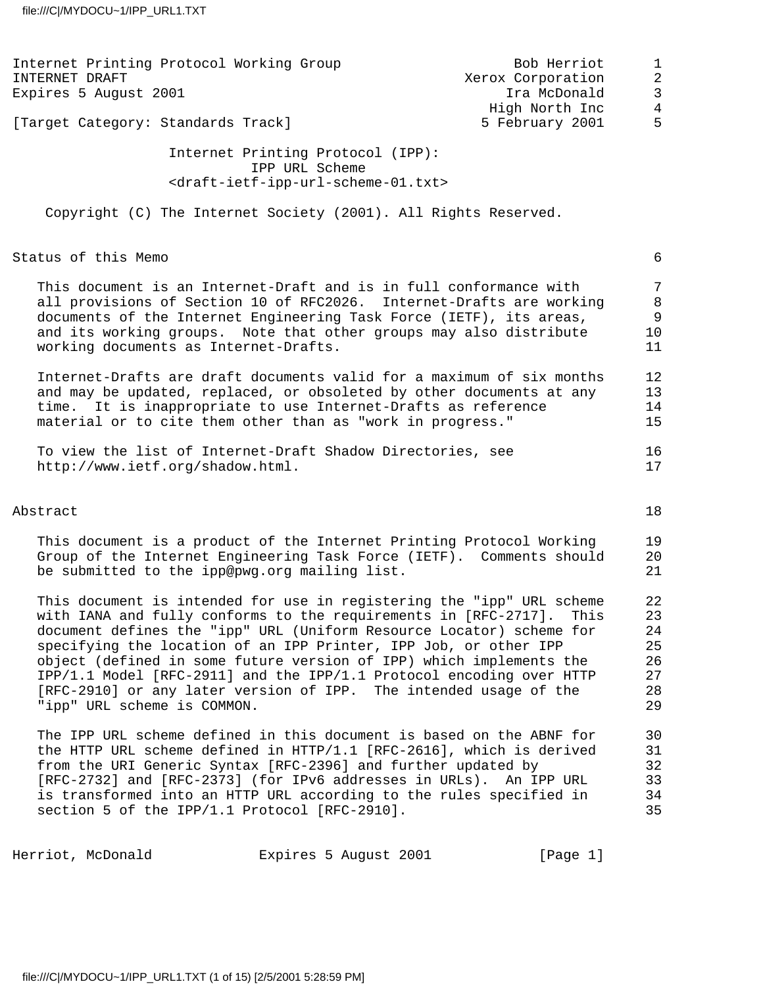| Internet Printing Protocol Working Group<br>INTERNET DRAFT<br>Expires 5 August 2001                                                                                                                                                                                                                                                                                                                                                                                                                                                          |                                                                                                                              | Bob Herriot<br>Xerox Corporation<br>Ira McDonald<br>High North Inc | $\mathbf 1$<br>$\overline{c}$<br>$\mathbf{3}$<br>$\overline{4}$ |
|----------------------------------------------------------------------------------------------------------------------------------------------------------------------------------------------------------------------------------------------------------------------------------------------------------------------------------------------------------------------------------------------------------------------------------------------------------------------------------------------------------------------------------------------|------------------------------------------------------------------------------------------------------------------------------|--------------------------------------------------------------------|-----------------------------------------------------------------|
| [Target Category: Standards Track]                                                                                                                                                                                                                                                                                                                                                                                                                                                                                                           |                                                                                                                              | 5 February 2001                                                    | 5                                                               |
|                                                                                                                                                                                                                                                                                                                                                                                                                                                                                                                                              | Internet Printing Protocol (IPP):<br>IPP URL Scheme<br><draft-ietf-ipp-url-scheme-01.txt></draft-ietf-ipp-url-scheme-01.txt> |                                                                    |                                                                 |
| Copyright (C) The Internet Society (2001). All Rights Reserved.                                                                                                                                                                                                                                                                                                                                                                                                                                                                              |                                                                                                                              |                                                                    |                                                                 |
| Status of this Memo                                                                                                                                                                                                                                                                                                                                                                                                                                                                                                                          |                                                                                                                              |                                                                    | $\epsilon$                                                      |
| This document is an Internet-Draft and is in full conformance with<br>all provisions of Section 10 of RFC2026. Internet-Drafts are working<br>documents of the Internet Engineering Task Force (IETF), its areas,<br>and its working groups. Note that other groups may also distribute<br>working documents as Internet-Drafts.                                                                                                                                                                                                             |                                                                                                                              |                                                                    | $\overline{7}$<br>8<br>$\overline{9}$<br>10<br>11               |
| Internet-Drafts are draft documents valid for a maximum of six months<br>and may be updated, replaced, or obsoleted by other documents at any<br>time.<br>material or to cite them other than as "work in progress."                                                                                                                                                                                                                                                                                                                         | It is inappropriate to use Internet-Drafts as reference                                                                      |                                                                    | 12<br>13<br>14<br>15                                            |
| To view the list of Internet-Draft Shadow Directories, see<br>http://www.ietf.org/shadow.html.                                                                                                                                                                                                                                                                                                                                                                                                                                               |                                                                                                                              |                                                                    | 16<br>17                                                        |
| Abstract                                                                                                                                                                                                                                                                                                                                                                                                                                                                                                                                     |                                                                                                                              |                                                                    | 18                                                              |
| This document is a product of the Internet Printing Protocol Working<br>Group of the Internet Engineering Task Force (IETF). Comments should<br>be submitted to the ipp@pwg.org mailing list.                                                                                                                                                                                                                                                                                                                                                |                                                                                                                              |                                                                    | 19<br>20<br>21                                                  |
| This document is intended for use in registering the "ipp" URL scheme<br>with IANA and fully conforms to the requirements in [RFC-2717]. This<br>document defines the "ipp" URL (Uniform Resource Locator) scheme for<br>specifying the location of an IPP Printer, IPP Job, or other IPP<br>object (defined in some future version of IPP) which implements the<br>IPP/1.1 Model [RFC-2911] and the IPP/1.1 Protocol encoding over HTTP<br>[RFC-2910] or any later version of IPP. The intended usage of the<br>"ipp" URL scheme is COMMON. |                                                                                                                              |                                                                    | 22<br>23<br>24<br>25<br>26<br>27<br>28<br>29                    |
| The IPP URL scheme defined in this document is based on the ABNF for<br>the HTTP URL scheme defined in HTTP/1.1 [RFC-2616], which is derived<br>from the URI Generic Syntax [RFC-2396] and further updated by<br>[RFC-2732] and [RFC-2373] (for IPv6 addresses in URLs). An IPP URL<br>is transformed into an HTTP URL according to the rules specified in<br>section 5 of the IPP/1.1 Protocol [RFC-2910].                                                                                                                                  |                                                                                                                              |                                                                    | 30<br>31<br>32<br>33<br>34<br>35                                |
| Herriot, McDonald                                                                                                                                                                                                                                                                                                                                                                                                                                                                                                                            | Expires 5 August 2001                                                                                                        | [Page 1]                                                           |                                                                 |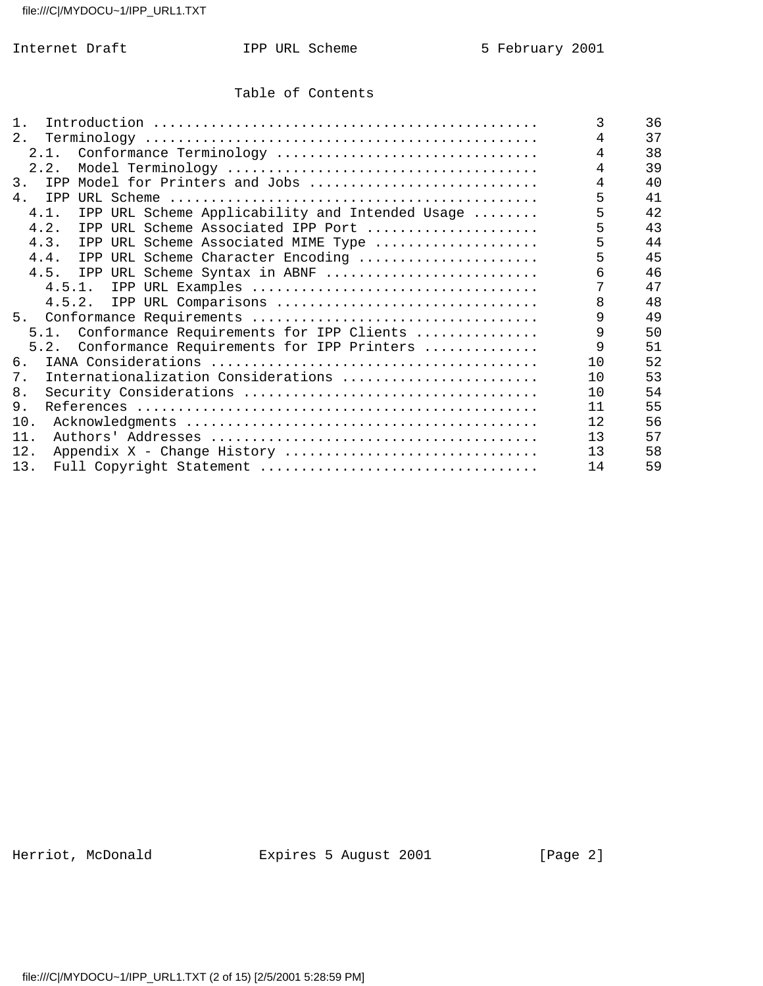# Table of Contents

| $1$ .                                                   | 3   | 36 |
|---------------------------------------------------------|-----|----|
| 2.                                                      | 4   | 37 |
| 2.1. Conformance Terminology                            | 4   | 38 |
| 2.2.                                                    |     | 39 |
| 3.<br>IPP Model for Printers and Jobs                   |     | 40 |
| 4.<br>IPP                                               | 5   | 41 |
| IPP URL Scheme Applicability and Intended Usage<br>4.1. | 5   | 42 |
| 4.2.<br>IPP URL Scheme Associated IPP Port              | 5   | 43 |
| 4.3.<br>IPP URL Scheme Associated MIME Type             | 5   | 44 |
| 4.4.<br>IPP URL Scheme Character Encoding               | 5   | 45 |
| IPP URL Scheme Syntax in ABNF<br>4.5.                   |     | 46 |
|                                                         |     | 47 |
| 4.5.2. IPP URL Comparisons                              | 8   | 48 |
| 5.                                                      |     | 49 |
| 5.1. Conformance Requirements for IPP Clients           | 9   | 50 |
| Conformance Requirements for IPP Printers<br>5.2.       | 9   | 51 |
| 6.                                                      | 10  | 52 |
| Internationalization Considerations<br>7.               | 10  | 53 |
| 8.                                                      | 10  | 54 |
| 9.                                                      | 11  | 55 |
| 10.                                                     | 12. | 56 |
| 11.                                                     | 13  | 57 |
| 12.<br>Appendix X - Change History                      | 13  | 58 |
| 13.                                                     | 14  | 59 |

Herriot, McDonald **Expires 5 August 2001** [Page 2]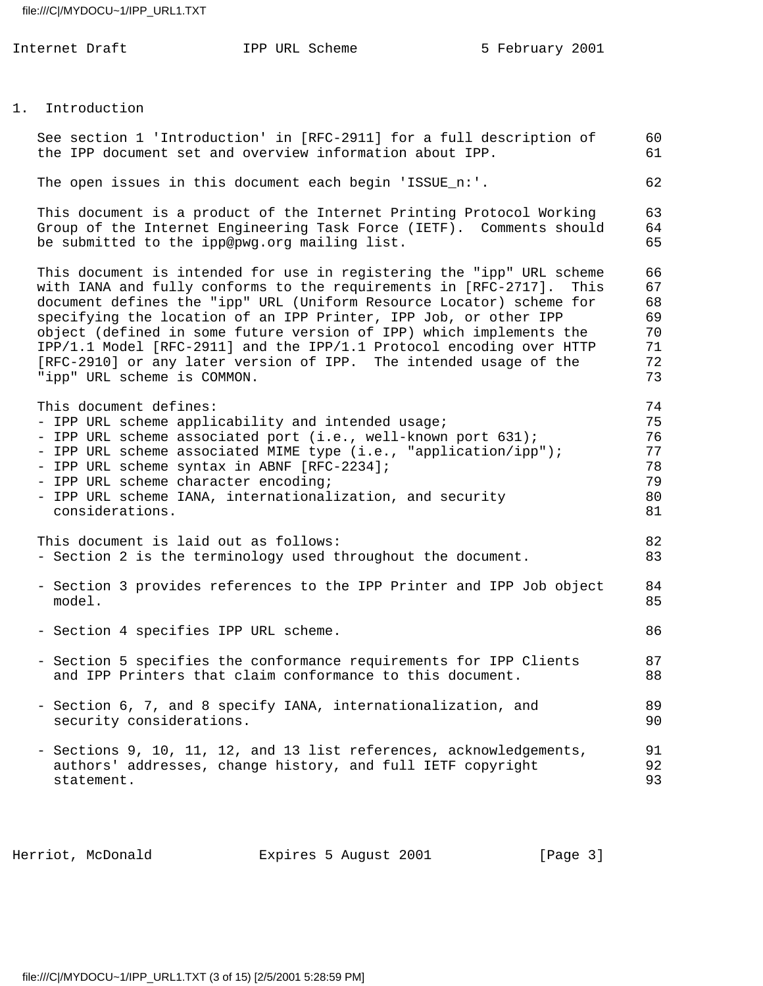| Internet Draft                                                                                                                   | IPP URL Scheme                                                                                                                                                                                                                                                                                                                                                                                                                                                                                           | 5 February 2001 |                                              |
|----------------------------------------------------------------------------------------------------------------------------------|----------------------------------------------------------------------------------------------------------------------------------------------------------------------------------------------------------------------------------------------------------------------------------------------------------------------------------------------------------------------------------------------------------------------------------------------------------------------------------------------------------|-----------------|----------------------------------------------|
| 1. Introduction                                                                                                                  |                                                                                                                                                                                                                                                                                                                                                                                                                                                                                                          |                 |                                              |
|                                                                                                                                  | See section 1 'Introduction' in [RFC-2911] for a full description of<br>the IPP document set and overview information about IPP.                                                                                                                                                                                                                                                                                                                                                                         |                 | 60<br>61                                     |
|                                                                                                                                  | The open issues in this document each begin 'ISSUE_n:'.                                                                                                                                                                                                                                                                                                                                                                                                                                                  |                 | 62                                           |
| be submitted to the ipp@pwg.org mailing list.                                                                                    | This document is a product of the Internet Printing Protocol Working<br>Group of the Internet Engineering Task Force (IETF). Comments should                                                                                                                                                                                                                                                                                                                                                             |                 | 63<br>64<br>65                               |
| "ipp" URL scheme is COMMON.                                                                                                      | This document is intended for use in registering the "ipp" URL scheme<br>with IANA and fully conforms to the requirements in [RFC-2717].<br>document defines the "ipp" URL (Uniform Resource Locator) scheme for<br>specifying the location of an IPP Printer, IPP Job, or other IPP<br>object (defined in some future version of IPP) which implements the<br>IPP/1.1 Model [RFC-2911] and the IPP/1.1 Protocol encoding over HTTP<br>[RFC-2910] or any later version of IPP. The intended usage of the | This            | 66<br>67<br>68<br>69<br>70<br>71<br>72<br>73 |
| This document defines:<br>- IPP URL scheme syntax in ABNF [RFC-2234];<br>- IPP URL scheme character encoding;<br>considerations. | - IPP URL scheme applicability and intended usage;<br>- IPP URL scheme associated port (i.e., well-known port 631);<br>- IPP URL scheme associated MIME type (i.e., "application/ipp");<br>- IPP URL scheme IANA, internationalization, and security                                                                                                                                                                                                                                                     |                 | 74<br>75<br>76<br>77<br>78<br>79<br>80<br>81 |
| This document is laid out as follows:                                                                                            | - Section 2 is the terminology used throughout the document.                                                                                                                                                                                                                                                                                                                                                                                                                                             |                 | 82<br>83                                     |
| model.                                                                                                                           | - Section 3 provides references to the IPP Printer and IPP Job object                                                                                                                                                                                                                                                                                                                                                                                                                                    |                 | 84<br>85                                     |
| - Section 4 specifies IPP URL scheme.                                                                                            |                                                                                                                                                                                                                                                                                                                                                                                                                                                                                                          |                 | 86                                           |
|                                                                                                                                  | - Section 5 specifies the conformance requirements for IPP Clients<br>and IPP Printers that claim conformance to this document.                                                                                                                                                                                                                                                                                                                                                                          |                 | 87<br>88                                     |
| security considerations.                                                                                                         | - Section 6, 7, and 8 specify IANA, internationalization, and                                                                                                                                                                                                                                                                                                                                                                                                                                            |                 | 89<br>90                                     |
| statement.                                                                                                                       | - Sections 9, 10, 11, 12, and 13 list references, acknowledgements,<br>authors' addresses, change history, and full IETF copyright                                                                                                                                                                                                                                                                                                                                                                       |                 | 91<br>92<br>93                               |

Herriot, McDonald **Expires 5 August 2001** [Page 3]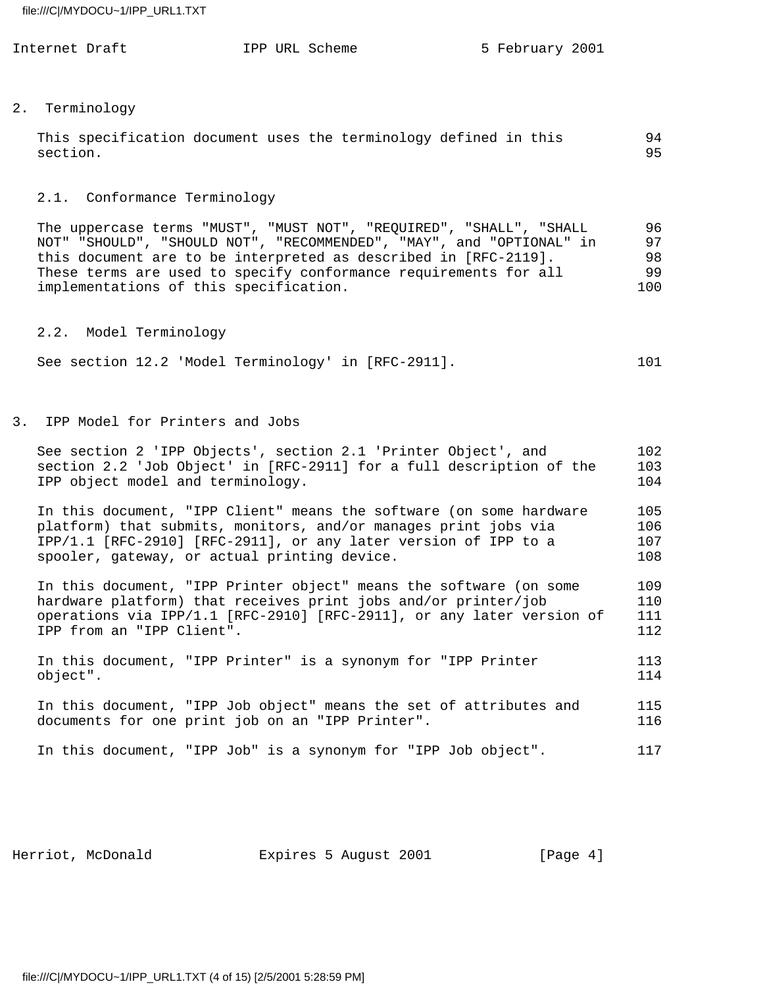| Internet Draft<br>IPP URL Scheme | 5 February 2001 |
|----------------------------------|-----------------|
|----------------------------------|-----------------|

# 2. Terminology

|          | This specification document uses the terminology defined in this |  |  |  |  | 94 |
|----------|------------------------------------------------------------------|--|--|--|--|----|
| section. |                                                                  |  |  |  |  | 95 |

#### 2.1. Conformance Terminology

 The uppercase terms "MUST", "MUST NOT", "REQUIRED", "SHALL", "SHALL 96 NOT" "SHOULD", "SHOULD NOT", "RECOMMENDED", "MAY", and "OPTIONAL" in 97 this document are to be interpreted as described in [RFC-2119]. 98 These terms are used to specify conformance requirements for all 99 implementations of this specification. 100

2.2. Model Terminology

| See section 12.2 'Model Terminology' in [RFC-2911]. |  | 101 |
|-----------------------------------------------------|--|-----|
|-----------------------------------------------------|--|-----|

3. IPP Model for Printers and Jobs

| See section 2 'IPP Objects', section 2.1 'Printer Object', and<br>section 2.2 'Job Object' in [RFC-2911] for a full description of the<br>IPP object model and terminology.                                                                               | 102<br>103<br>104        |
|-----------------------------------------------------------------------------------------------------------------------------------------------------------------------------------------------------------------------------------------------------------|--------------------------|
| In this document, "IPP Client" means the software (on some hardware<br>platform) that submits, monitors, and/or manages print jobs via<br>IPP/1.1 [RFC-2910] [RFC-2911], or any later version of IPP to a<br>spooler, gateway, or actual printing device. | 105<br>106<br>107<br>108 |
| In this document, "IPP Printer object" means the software (on some<br>hardware platform) that receives print jobs and/or printer/job<br>operations via IPP/1.1 [RFC-2910] [RFC-2911], or any later version of<br>IPP from an "IPP Client".                | 109<br>110<br>111<br>112 |
| In this document, "IPP Printer" is a synonym for "IPP Printer<br>object".                                                                                                                                                                                 | 113<br>114               |
| In this document, "IPP Job object" means the set of attributes and<br>documents for one print job on an "IPP Printer".                                                                                                                                    | 115<br>116               |
| In this document, "IPP Job" is a synonym for "IPP Job object".                                                                                                                                                                                            | 117                      |

Herriot, McDonald **Expires 5 August 2001** [Page 4]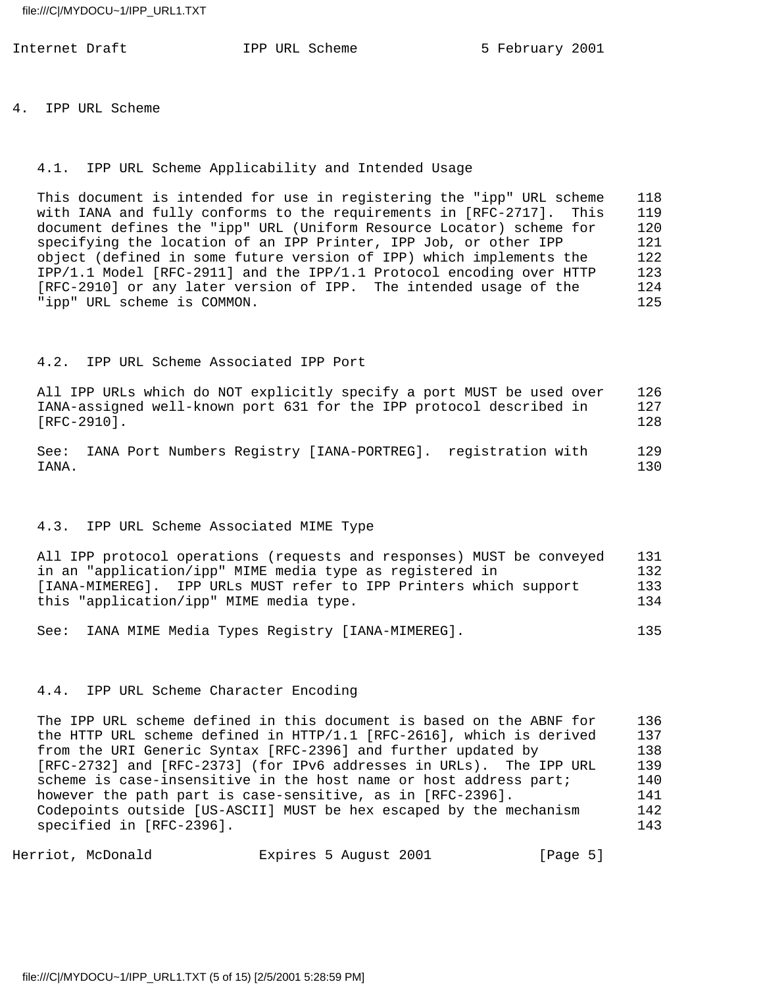4. IPP URL Scheme

#### 4.1. IPP URL Scheme Applicability and Intended Usage

 This document is intended for use in registering the "ipp" URL scheme 118 with IANA and fully conforms to the requirements in [RFC-2717]. This 119 document defines the "ipp" URL (Uniform Resource Locator) scheme for 120 specifying the location of an IPP Printer, IPP Job, or other IPP 121 object (defined in some future version of IPP) which implements the 122 IPP/1.1 Model [RFC-2911] and the IPP/1.1 Protocol encoding over HTTP 123 [RFC-2910] or any later version of IPP. The intended usage of the 124 "ipp" URL scheme is COMMON. 125

## 4.2. IPP URL Scheme Associated IPP Port

 All IPP URLs which do NOT explicitly specify a port MUST be used over 126 IANA-assigned well-known port 631 for the IPP protocol described in 127 [RFC-2910]. 128

 See: IANA Port Numbers Registry [IANA-PORTREG]. registration with 129 IANA. 130

# 4.3. IPP URL Scheme Associated MIME Type

 All IPP protocol operations (requests and responses) MUST be conveyed 131 in an "application/ipp" MIME media type as registered in 132 [IANA-MIMEREG]. IPP URLs MUST refer to IPP Printers which support 133 this "application/ipp" MIME media type. 134

See: IANA MIME Media Types Registry [IANA-MIMEREG]. 135

### 4.4. IPP URL Scheme Character Encoding

 The IPP URL scheme defined in this document is based on the ABNF for 136 the HTTP URL scheme defined in HTTP/1.1 [RFC-2616], which is derived 137 from the URI Generic Syntax [RFC-2396] and further updated by 138 [RFC-2732] and [RFC-2373] (for IPv6 addresses in URLs). The IPP URL 139 scheme is case-insensitive in the host name or host address part; 140 however the path part is case-sensitive, as in [RFC-2396]. 141 Codepoints outside [US-ASCII] MUST be hex escaped by the mechanism 142 specified in [RFC-2396]. 143

Herriot, McDonald **Expires 5 August 2001** [Page 5]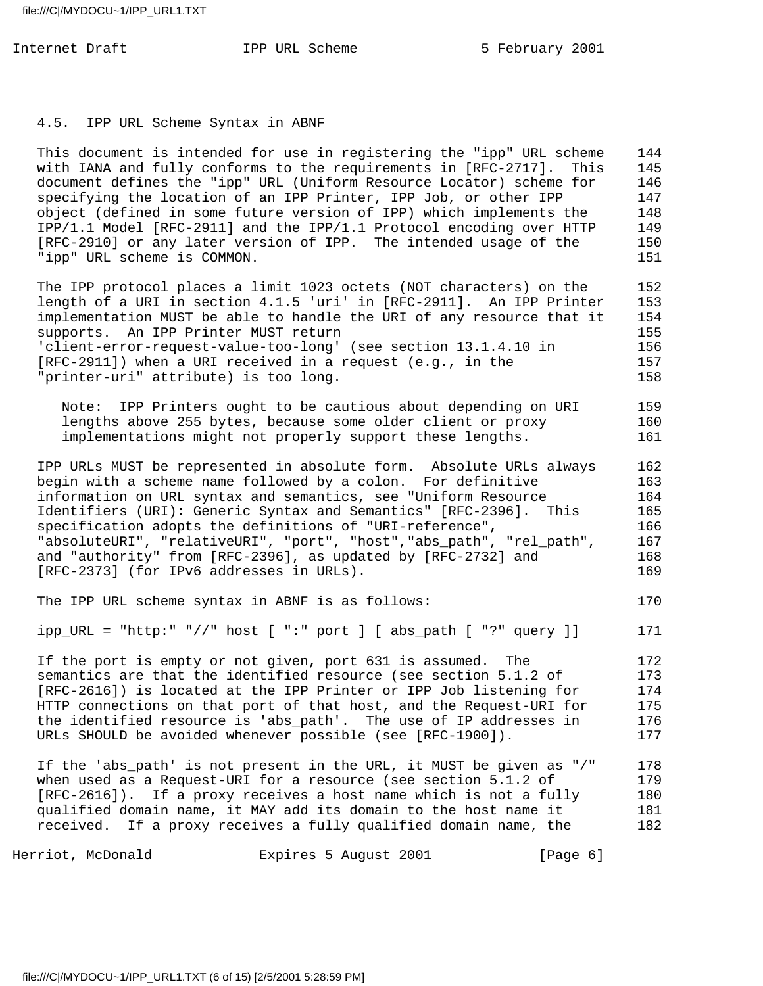Internet Draft **IPP** URL Scheme 5 February 2001

# 4.5. IPP URL Scheme Syntax in ABNF

 This document is intended for use in registering the "ipp" URL scheme 144 with IANA and fully conforms to the requirements in [RFC-2717]. This 145 document defines the "ipp" URL (Uniform Resource Locator) scheme for 146 specifying the location of an IPP Printer, IPP Job, or other IPP 147 object (defined in some future version of IPP) which implements the 148 IPP/1.1 Model [RFC-2911] and the IPP/1.1 Protocol encoding over HTTP 149 [RFC-2910] or any later version of IPP. The intended usage of the 150 "ipp" URL scheme is COMMON. 151

The IPP protocol places a limit 1023 octets (NOT characters) on the 152 length of a URI in section 4.1.5 'uri' in [RFC-2911]. An IPP Printer 153 implementation MUST be able to handle the URI of any resource that it 154 supports. An IPP Printer MUST return 155 'client-error-request-value-too-long' (see section 13.1.4.10 in 156 [RFC-2911]) when a URI received in a request (e.g., in the 157 "printer-uri" attribute) is too long. 158

 Note: IPP Printers ought to be cautious about depending on URI 159 lengths above 255 bytes, because some older client or proxy 160 implementations might not properly support these lengths. 161

 IPP URLs MUST be represented in absolute form. Absolute URLs always 162 begin with a scheme name followed by a colon. For definitive 163 information on URL syntax and semantics, see "Uniform Resource 164 Identifiers (URI): Generic Syntax and Semantics" [RFC-2396]. This 165 specification adopts the definitions of "URI-reference", 166 "absoluteURI", "relativeURI", "port", "host","abs\_path", "rel\_path", 167 and "authority" from [RFC-2396], as updated by [RFC-2732] and 168 [RFC-2373] (for IPv6 addresses in URLs). 169

## The IPP URL scheme syntax in ABNF is as follows: 170

ipp\_URL = "http:" "//" host [ ":" port ] [ abs\_path [ "?" query ]] 171

 If the port is empty or not given, port 631 is assumed. The 172 semantics are that the identified resource (see section 5.1.2 of 173 [RFC-2616]) is located at the IPP Printer or IPP Job listening for 174 HTTP connections on that port of that host, and the Request-URI for 175 the identified resource is 'abs\_path'. The use of IP addresses in 176 URLs SHOULD be avoided whenever possible (see [RFC-1900]). 177

 If the 'abs\_path' is not present in the URL, it MUST be given as "/" 178 when used as a Request-URI for a resource (see section 5.1.2 of 179 [RFC-2616]). If a proxy receives a host name which is not a fully 180 qualified domain name, it MAY add its domain to the host name it 181 received. If a proxy receives a fully qualified domain name, the 182

Herriot, McDonald **Expires 5 August 2001** [Page 6]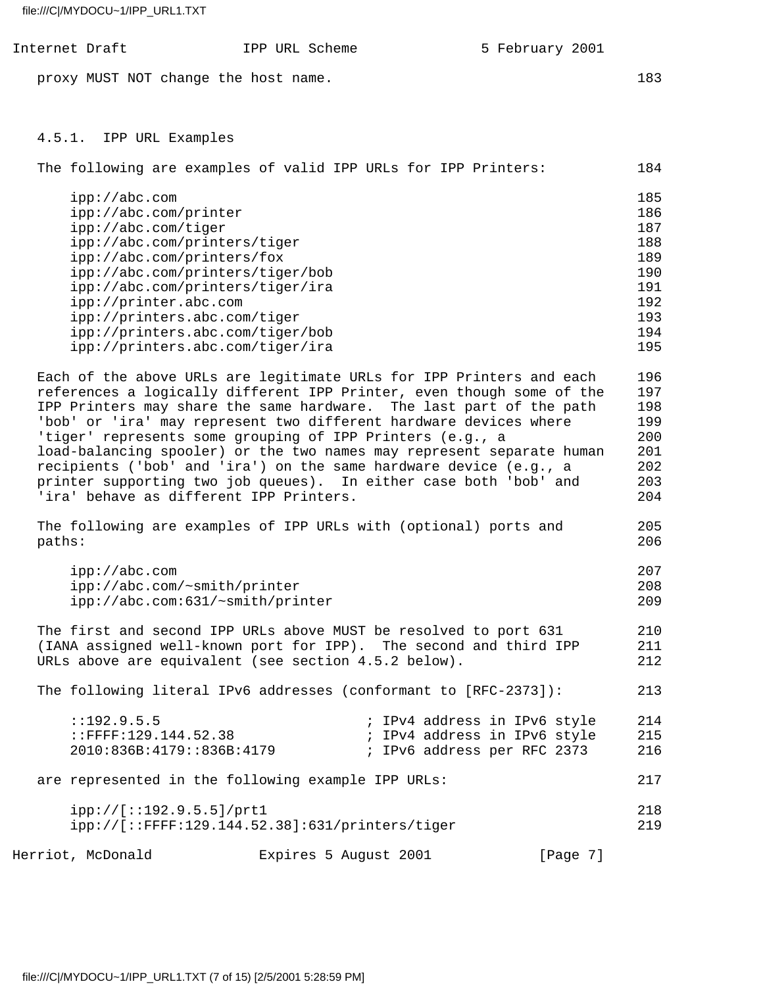| file:///C /MYDOCU~1/IPP_URL1.TXT                                                                                                                                                     |                                                                                                                                                                                                                                                                                                                                                                                                                                                                                                                                                                           |                 |                                                                           |
|--------------------------------------------------------------------------------------------------------------------------------------------------------------------------------------|---------------------------------------------------------------------------------------------------------------------------------------------------------------------------------------------------------------------------------------------------------------------------------------------------------------------------------------------------------------------------------------------------------------------------------------------------------------------------------------------------------------------------------------------------------------------------|-----------------|---------------------------------------------------------------------------|
| Internet Draft                                                                                                                                                                       | IPP URL Scheme                                                                                                                                                                                                                                                                                                                                                                                                                                                                                                                                                            | 5 February 2001 |                                                                           |
| proxy MUST NOT change the host name.                                                                                                                                                 |                                                                                                                                                                                                                                                                                                                                                                                                                                                                                                                                                                           |                 | 183                                                                       |
| 4.5.1. IPP URL Examples                                                                                                                                                              | The following are examples of valid IPP URLs for IPP Printers:                                                                                                                                                                                                                                                                                                                                                                                                                                                                                                            |                 | 184                                                                       |
| ipp://abc.com<br>ipp://abc.com/printer<br>ipp://abc.com/tiger<br>ipp://abc.com/printers/tiger<br>ipp://abc.com/printers/fox<br>ipp://printer.abc.com<br>ipp://printers.abc.com/tiger | ipp://abc.com/printers/tiger/bob<br>ipp://abc.com/printers/tiger/ira<br>ipp://printers.abc.com/tiger/bob<br>ipp://printers.abc.com/tiger/ira                                                                                                                                                                                                                                                                                                                                                                                                                              |                 | 185<br>186<br>187<br>188<br>189<br>190<br>191<br>192<br>193<br>194<br>195 |
| 'ira' behave as different IPP Printers.                                                                                                                                              | Each of the above URLs are legitimate URLs for IPP Printers and each<br>references a logically different IPP Printer, even though some of the<br>IPP Printers may share the same hardware. The last part of the path<br>'bob' or 'ira' may represent two different hardware devices where<br>'tiger' represents some grouping of IPP Printers (e.g., a<br>load-balancing spooler) or the two names may represent separate human<br>recipients ('bob' and 'ira') on the same hardware device (e.g., a<br>printer supporting two job queues). In either case both 'bob' and |                 | 196<br>197<br>198<br>199<br>200<br>201<br>202<br>203<br>204               |
| paths:                                                                                                                                                                               | The following are examples of IPP URLs with (optional) ports and                                                                                                                                                                                                                                                                                                                                                                                                                                                                                                          |                 | 205<br>206                                                                |

| 207 |
|-----|
| 208 |
| 209 |
|     |

The first and second IPP URLs above MUST be resolved to port 631 210 (IANA assigned well-known port for IPP). The second and third IPP 211 URLs above are equivalent (see section 4.5.2 below). 212

 The following literal IPv6 addresses (conformant to [RFC-2373]): 213 ::192.9.5.5 ; IPv4 address in IPv6 style 214<br>::FFFF:129.144.52.38 ; IPv4 address in IPv6 style 215 : IPv4 address in IPv6 style 215

 2010:836B:4179::836B:4179 ; IPv6 address per RFC 2373 216 are represented in the following example IPP URLs: 217 ipp://[::192.9.5.5]/prt1 218 ipp://[::FFFF:129.144.52.38]:631/printers/tiger 219

Herriot, McDonald **Expires 5 August 2001** [Page 7]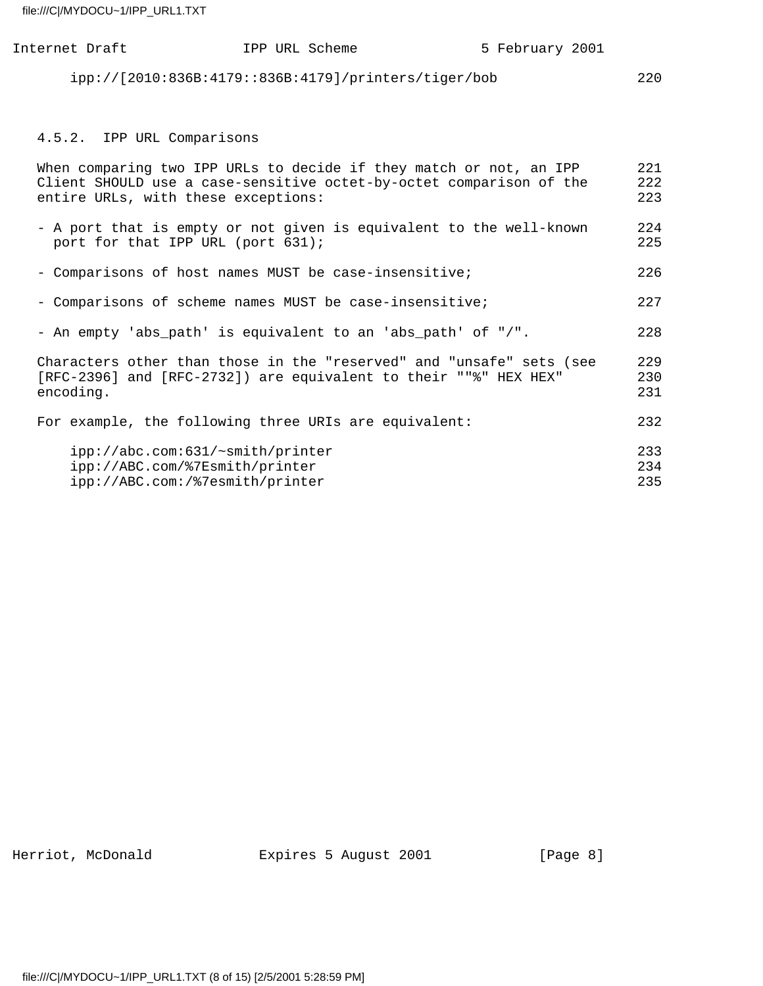| Internet Draft                                                                                                                                                                   | IPP URL Scheme                                       | 5 February 2001 |                   |
|----------------------------------------------------------------------------------------------------------------------------------------------------------------------------------|------------------------------------------------------|-----------------|-------------------|
|                                                                                                                                                                                  | ipp://[2010:836B:4179::836B:4179]/printers/tiger/bob |                 | 220               |
|                                                                                                                                                                                  |                                                      |                 |                   |
| 4.5.2. IPP URL Comparisons                                                                                                                                                       |                                                      |                 |                   |
| When comparing two IPP URLs to decide if they match or not, an IPP<br>Client SHOULD use a case-sensitive octet-by-octet comparison of the<br>entire URLs, with these exceptions: |                                                      |                 | 221<br>222<br>223 |
| - A port that is empty or not given is equivalent to the well-known<br>port for that IPP URL (port 631);                                                                         |                                                      |                 | 224<br>225        |
| - Comparisons of host names MUST be case-insensitive;                                                                                                                            |                                                      |                 | 226               |
| - Comparisons of scheme names MUST be case-insensitive;                                                                                                                          |                                                      |                 | 227               |
| - An empty 'abs_path' is equivalent to an 'abs_path' of "/".                                                                                                                     |                                                      |                 | 228               |
| Characters other than those in the "reserved" and "unsafe" sets (see<br>[RFC-2396] and [RFC-2732]) are equivalent to their ""%" HEX HEX"<br>encoding.                            |                                                      |                 | 229<br>230<br>231 |
| For example, the following three URIs are equivalent:                                                                                                                            |                                                      |                 | 232               |
| ipp://abc.com:631/~smith/printer<br>ipp://ABC.com/%7Esmith/printer                                                                                                               |                                                      |                 | 233<br>234        |
| ipp://ABC.com:/%7esmith/printer                                                                                                                                                  |                                                      |                 | 235               |

Herriot, McDonald **Expires 5 August 2001** [Page 8]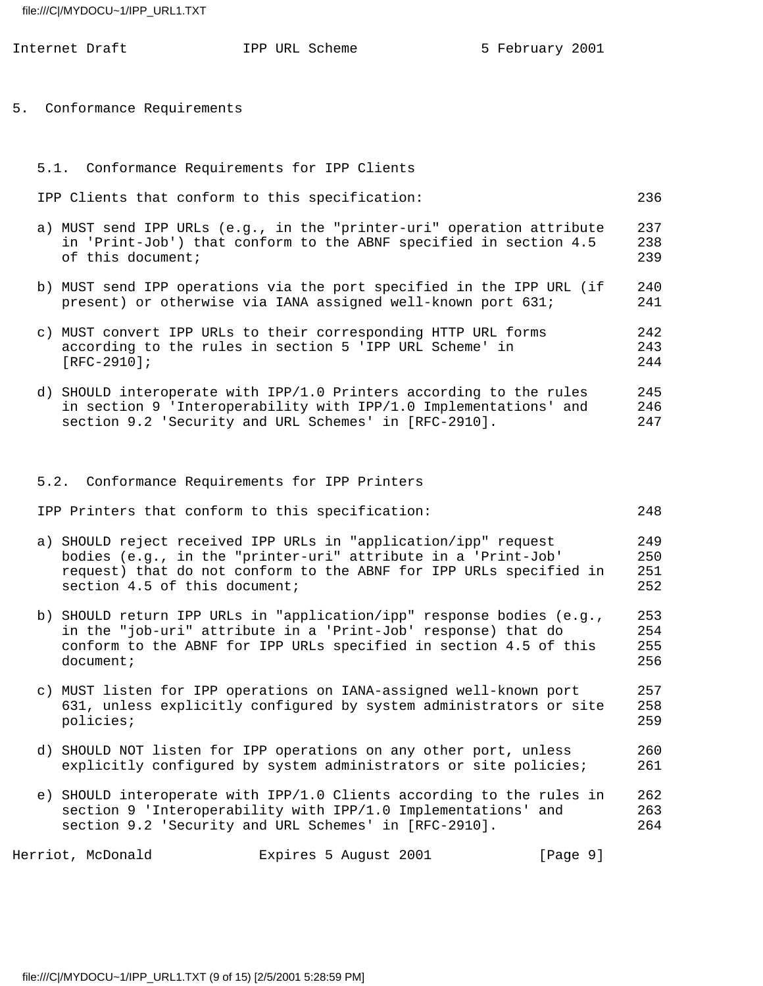|  | Internet Draft                                | IPP URL Scheme                                                                                                                                                                                              | 5 February 2001 |                          |
|--|-----------------------------------------------|-------------------------------------------------------------------------------------------------------------------------------------------------------------------------------------------------------------|-----------------|--------------------------|
|  | 5. Conformance Requirements                   |                                                                                                                                                                                                             |                 |                          |
|  | 5.1. Conformance Requirements for IPP Clients |                                                                                                                                                                                                             |                 |                          |
|  |                                               | IPP Clients that conform to this specification:                                                                                                                                                             |                 | 236                      |
|  | of this document;                             | a) MUST send IPP URLs (e.g., in the "printer-uri" operation attribute<br>in 'Print-Job') that conform to the ABNF specified in section 4.5                                                                  |                 | 237<br>238<br>239        |
|  |                                               | b) MUST send IPP operations via the port specified in the IPP URL (if<br>present) or otherwise via IANA assigned well-known port 631;                                                                       |                 | 240<br>241               |
|  | $[RFC-2910]$ ;                                | c) MUST convert IPP URLs to their corresponding HTTP URL forms<br>according to the rules in section 5 'IPP URL Scheme' in                                                                                   |                 | 242<br>243<br>244        |
|  |                                               | d) SHOULD interoperate with IPP/1.0 Printers according to the rules<br>in section 9 'Interoperability with IPP/1.0 Implementations' and<br>section 9.2 'Security and URL Schemes' in [RFC-2910].            |                 | 245<br>246<br>247        |
|  |                                               |                                                                                                                                                                                                             |                 |                          |
|  |                                               | 5.2. Conformance Requirements for IPP Printers                                                                                                                                                              |                 |                          |
|  |                                               | IPP Printers that conform to this specification:                                                                                                                                                            |                 | 248                      |
|  | section 4.5 of this document;                 | a) SHOULD reject received IPP URLs in "application/ipp" request<br>bodies (e.g., in the "printer-uri" attribute in a 'Print-Job'<br>request) that do not conform to the ABNF for IPP URLs specified in      |                 | 249<br>250<br>251<br>252 |
|  | document;                                     | b) SHOULD return IPP URLs in "application/ipp" response bodies (e.g.,<br>in the "job-uri" attribute in a 'Print-Job' response) that do<br>conform to the ABNF for IPP URLs specified in section 4.5 of this |                 | 253<br>254<br>255<br>256 |
|  | policies;                                     | c) MUST listen for IPP operations on IANA-assigned well-known port<br>631, unless explicitly configured by system administrators or site                                                                    |                 | 257<br>258<br>259        |
|  |                                               | d) SHOULD NOT listen for IPP operations on any other port, unless<br>explicitly configured by system administrators or site policies;                                                                       |                 | 260<br>261               |
|  |                                               | e) SHOULD interoperate with IPP/1.0 Clients according to the rules in<br>section 9 'Interoperability with IPP/1.0 Implementations' and<br>section 9.2 'Security and URL Schemes' in [RFC-2910].             |                 | 262<br>263<br>264        |

Herriot, McDonald **Expires 5 August 2001** [Page 9]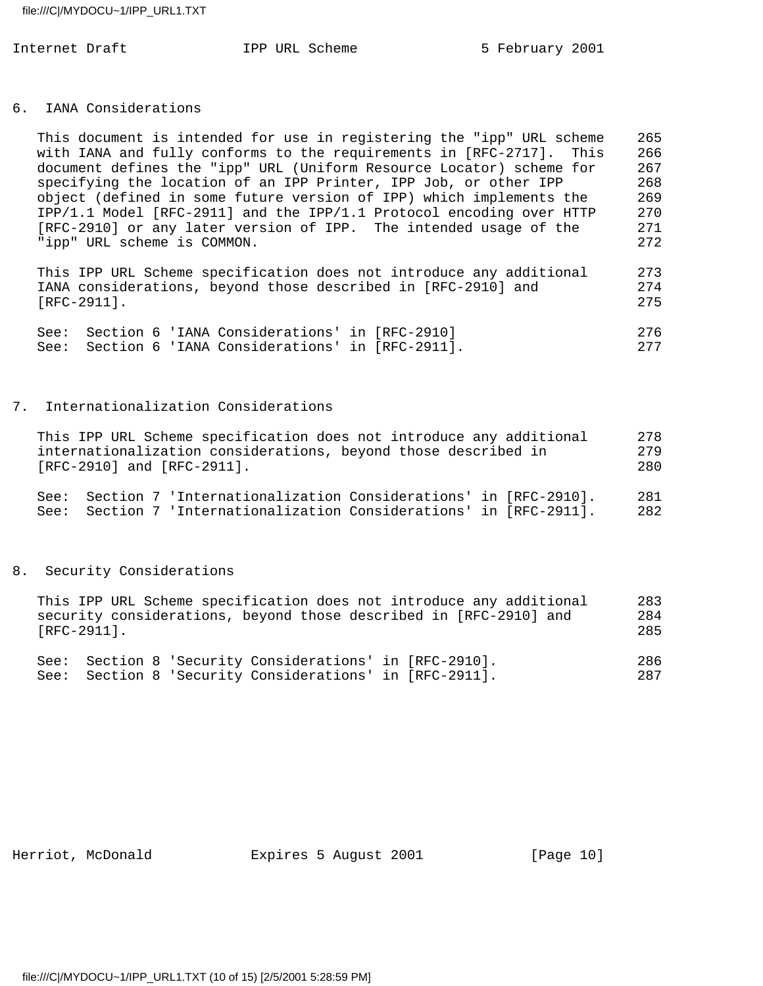#### 6. IANA Considerations

| This document is intended for use in registering the "ipp" URL scheme | 265  |
|-----------------------------------------------------------------------|------|
| with IANA and fully conforms to the requirements in [RFC-2717]. This  | 266  |
| document defines the "ipp" URL (Uniform Resource Locator) scheme for  | 267  |
| specifying the location of an IPP Printer, IPP Job, or other IPP      | 268  |
| object (defined in some future version of IPP) which implements the   | 269  |
| IPP/1.1 Model [RFC-2911] and the IPP/1.1 Protocol encoding over HTTP  | 270  |
| [RFC-2910] or any later version of IPP. The intended usage of the     | 271  |
| "ipp" URL scheme is COMMON.                                           | 2.72 |
|                                                                       |      |
|                                                                       |      |

 This IPP URL Scheme specification does not introduce any additional 273 IANA considerations, beyond those described in [RFC-2910] and 274 [RFC-2911]. 275

|  | See: Section 6 'IANA Considerations' in [RFC-2910]  |  | 276 |
|--|-----------------------------------------------------|--|-----|
|  | See: Section 6 'IANA Considerations' in [RFC-2911]. |  | 277 |

### 7. Internationalization Considerations

| This IPP URL Scheme specification does not introduce any additional | 278  |
|---------------------------------------------------------------------|------|
| internationalization considerations, beyond those described in      | 2.79 |
| $[RFC-2910]$ and $[RFC-2911]$ .                                     | 2.80 |
| See: Section 7 'Internationalization Considerations' in [RFC-2910]. | 281  |
| See: Section 7 'Internationalization Considerations' in [RFC-2911]. | 282  |

#### 8. Security Considerations

| This IPP URL Scheme specification does not introduce any additional | 283 |
|---------------------------------------------------------------------|-----|
| security considerations, beyond those described in [RFC-2910] and   | 284 |
| $[RFC-2911]$ .                                                      | 285 |
|                                                                     |     |
| See: Section 8 'Security Considerations' in [RFC-2910].             | 286 |

See: Section 8 'Security Considerations' in [RFC-2911]. 287

Herriot, McDonald **Expires 5 August 2001** [Page 10]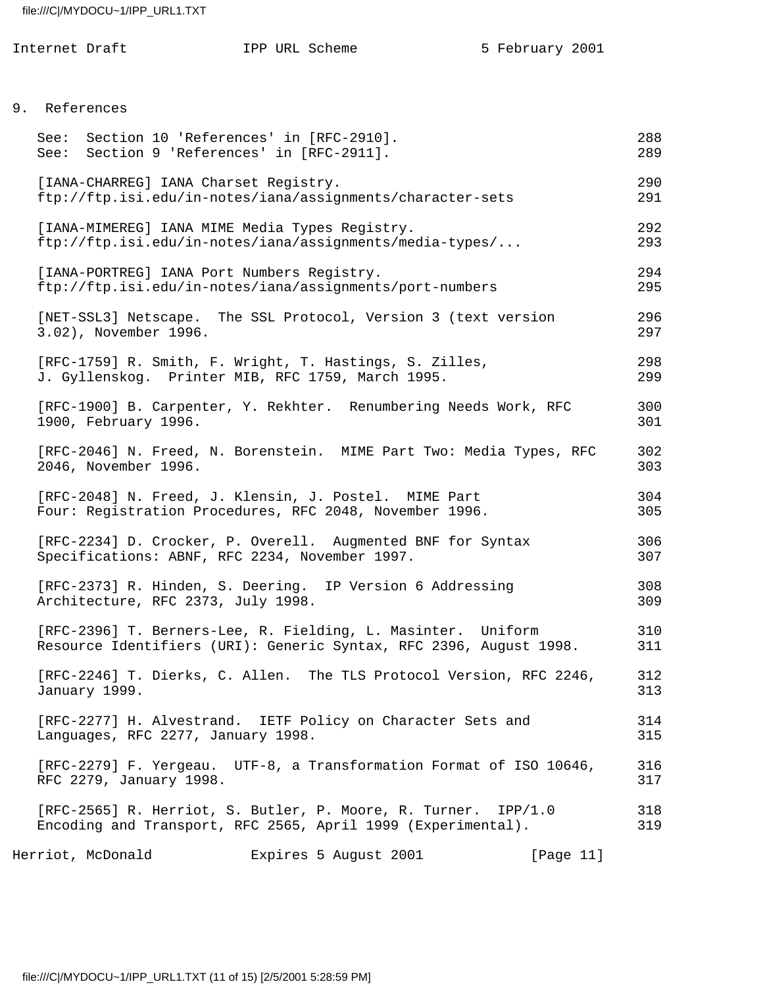|               | Internet Draft        | IPP URL Scheme                                                                                                                     | 5 February 2001 |            |
|---------------|-----------------------|------------------------------------------------------------------------------------------------------------------------------------|-----------------|------------|
|               |                       |                                                                                                                                    |                 |            |
| 9. References |                       |                                                                                                                                    |                 |            |
| See:<br>See:  |                       | Section 10 'References' in [RFC-2910].<br>Section 9 'References' in [RFC-2911].                                                    |                 | 288<br>289 |
|               |                       | [IANA-CHARREG] IANA Charset Registry.<br>ftp://ftp.isi.edu/in-notes/iana/assignments/character-sets                                |                 | 290<br>291 |
|               |                       | [IANA-MIMEREG] IANA MIME Media Types Registry.<br>ftp://ftp.isi.edu/in-notes/iana/assignments/media-types/                         |                 | 292<br>293 |
|               |                       | [IANA-PORTREG] IANA Port Numbers Registry.<br>ftp://ftp.isi.edu/in-notes/iana/assignments/port-numbers                             |                 | 294<br>295 |
|               | 3.02), November 1996. | [NET-SSL3] Netscape. The SSL Protocol, Version 3 (text version                                                                     |                 | 296<br>297 |
|               |                       | [RFC-1759] R. Smith, F. Wright, T. Hastings, S. Zilles,<br>J. Gyllenskog. Printer MIB, RFC 1759, March 1995.                       |                 | 298<br>299 |
|               | 1900, February 1996.  | [RFC-1900] B. Carpenter, Y. Rekhter. Renumbering Needs Work, RFC                                                                   |                 | 300<br>301 |
|               | 2046, November 1996.  | [RFC-2046] N. Freed, N. Borenstein. MIME Part Two: Media Types, RFC                                                                |                 | 302<br>303 |
|               |                       | [RFC-2048] N. Freed, J. Klensin, J. Postel. MIME Part<br>Four: Registration Procedures, RFC 2048, November 1996.                   |                 | 304<br>305 |
|               |                       | [RFC-2234] D. Crocker, P. Overell. Augmented BNF for Syntax<br>Specifications: ABNF, RFC 2234, November 1997.                      |                 | 306<br>307 |
|               |                       | [RFC-2373] R. Hinden, S. Deering. IP Version 6 Addressing<br>Architecture, RFC 2373, July 1998.                                    |                 | 308<br>309 |
|               |                       | [RFC-2396] T. Berners-Lee, R. Fielding, L. Masinter. Uniform<br>Resource Identifiers (URI): Generic Syntax, RFC 2396, August 1998. |                 | 310<br>311 |
|               | January 1999.         | [RFC-2246] T. Dierks, C. Allen. The TLS Protocol Version, RFC 2246,                                                                |                 | 312<br>313 |
|               |                       | [RFC-2277] H. Alvestrand. IETF Policy on Character Sets and<br>Languages, RFC 2277, January 1998.                                  |                 | 314<br>315 |
|               |                       | [RFC-2279] F. Yergeau. UTF-8, a Transformation Format of ISO 10646,<br>RFC 2279, January 1998.                                     |                 | 316<br>317 |
|               |                       | [RFC-2565] R. Herriot, S. Butler, P. Moore, R. Turner. IPP/1.0<br>Encoding and Transport, RFC 2565, April 1999 (Experimental).     |                 | 318<br>319 |
|               |                       |                                                                                                                                    |                 |            |

Herriot, McDonald **Expires 5 August 2001** [Page 11]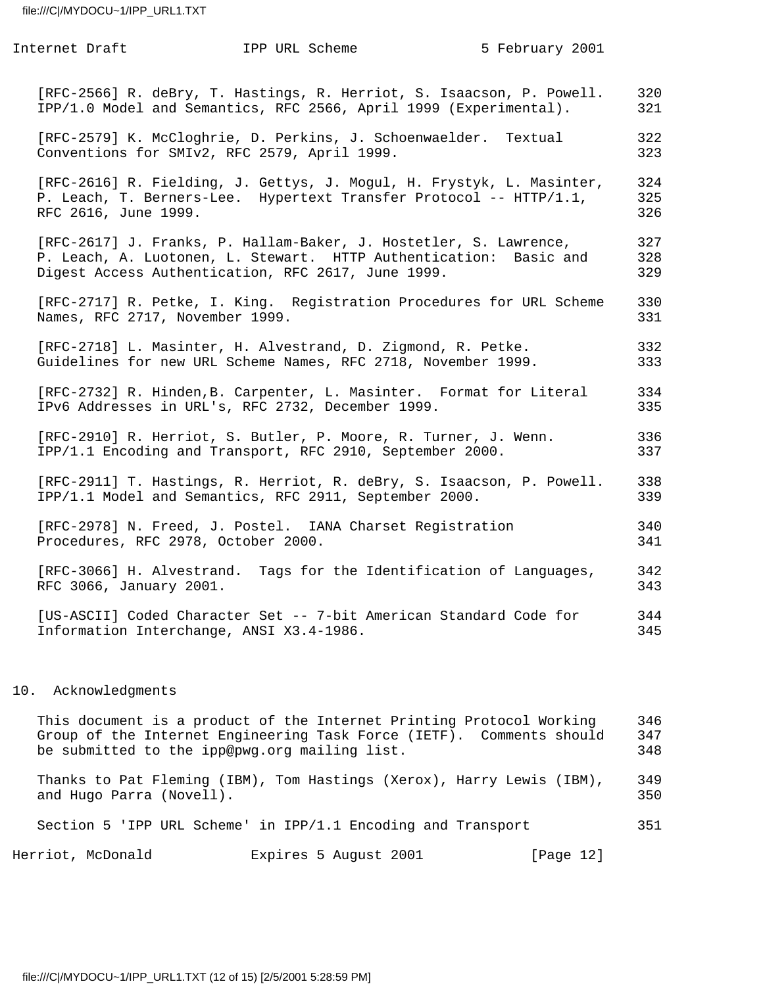| Internet Draft                      | IPP URL Scheme                                                                                                                                                                               | 5 February 2001 |                   |
|-------------------------------------|----------------------------------------------------------------------------------------------------------------------------------------------------------------------------------------------|-----------------|-------------------|
|                                     | [RFC-2566] R. deBry, T. Hastings, R. Herriot, S. Isaacson, P. Powell.<br>IPP/1.0 Model and Semantics, RFC 2566, April 1999 (Experimental).                                                   |                 | 320<br>321        |
|                                     | [RFC-2579] K. McCloghrie, D. Perkins, J. Schoenwaelder. Textual<br>Conventions for SMIv2, RFC 2579, April 1999.                                                                              |                 | 322<br>323        |
| RFC 2616, June 1999.                | [RFC-2616] R. Fielding, J. Gettys, J. Mogul, H. Frystyk, L. Masinter,<br>P. Leach, T. Berners-Lee. Hypertext Transfer Protocol -- HTTP/1.1,                                                  |                 | 324<br>325<br>326 |
|                                     | [RFC-2617] J. Franks, P. Hallam-Baker, J. Hostetler, S. Lawrence,<br>P. Leach, A. Luotonen, L. Stewart. HTTP Authentication: Basic and<br>Digest Access Authentication, RFC 2617, June 1999. |                 | 327<br>328<br>329 |
| Names, RFC 2717, November 1999.     | [RFC-2717] R. Petke, I. King. Registration Procedures for URL Scheme                                                                                                                         |                 | 330<br>331        |
|                                     | [RFC-2718] L. Masinter, H. Alvestrand, D. Zigmond, R. Petke.<br>Guidelines for new URL Scheme Names, RFC 2718, November 1999.                                                                |                 | 332<br>333        |
|                                     | [RFC-2732] R. Hinden, B. Carpenter, L. Masinter. Format for Literal<br>IPv6 Addresses in URL's, RFC 2732, December 1999.                                                                     |                 | 334<br>335        |
|                                     | [RFC-2910] R. Herriot, S. Butler, P. Moore, R. Turner, J. Wenn.<br>IPP/1.1 Encoding and Transport, RFC 2910, September 2000.                                                                 |                 | 336<br>337        |
|                                     | [RFC-2911] T. Hastings, R. Herriot, R. deBry, S. Isaacson, P. Powell.<br>IPP/1.1 Model and Semantics, RFC 2911, September 2000.                                                              |                 | 338<br>339        |
| Procedures, RFC 2978, October 2000. | [RFC-2978] N. Freed, J. Postel. IANA Charset Registration                                                                                                                                    |                 | 340<br>341        |
| RFC 3066, January 2001.             | [RFC-3066] H. Alvestrand. Tags for the Identification of Languages,                                                                                                                          |                 | 342<br>343        |
|                                     | [US-ASCII] Coded Character Set -- 7-bit American Standard Code for<br>Information Interchange, ANSI X3.4-1986.                                                                               |                 | 344<br>345        |
|                                     |                                                                                                                                                                                              |                 |                   |

# 10. Acknowledgments

| This document is a product of the Internet Printing Protocol Working<br>Group of the Internet Engineering Task Force (IETF). Comments should<br>be submitted to the ipp@pwg.org mailing list. | 346<br>347<br>348 |
|-----------------------------------------------------------------------------------------------------------------------------------------------------------------------------------------------|-------------------|
| Thanks to Pat Fleming (IBM), Tom Hastings (Xerox), Harry Lewis (IBM),<br>and Hugo Parra (Novell).                                                                                             | 349<br>350        |
| Section 5 'IPP URL Scheme' in IPP/1.1 Encoding and Transport                                                                                                                                  | 351               |
| Herriot, McDonald<br>Expires 5 August 2001<br>[Page 12]                                                                                                                                       |                   |

file:///C|/MYDOCU~1/IPP\_URL1.TXT (12 of 15) [2/5/2001 5:28:59 PM]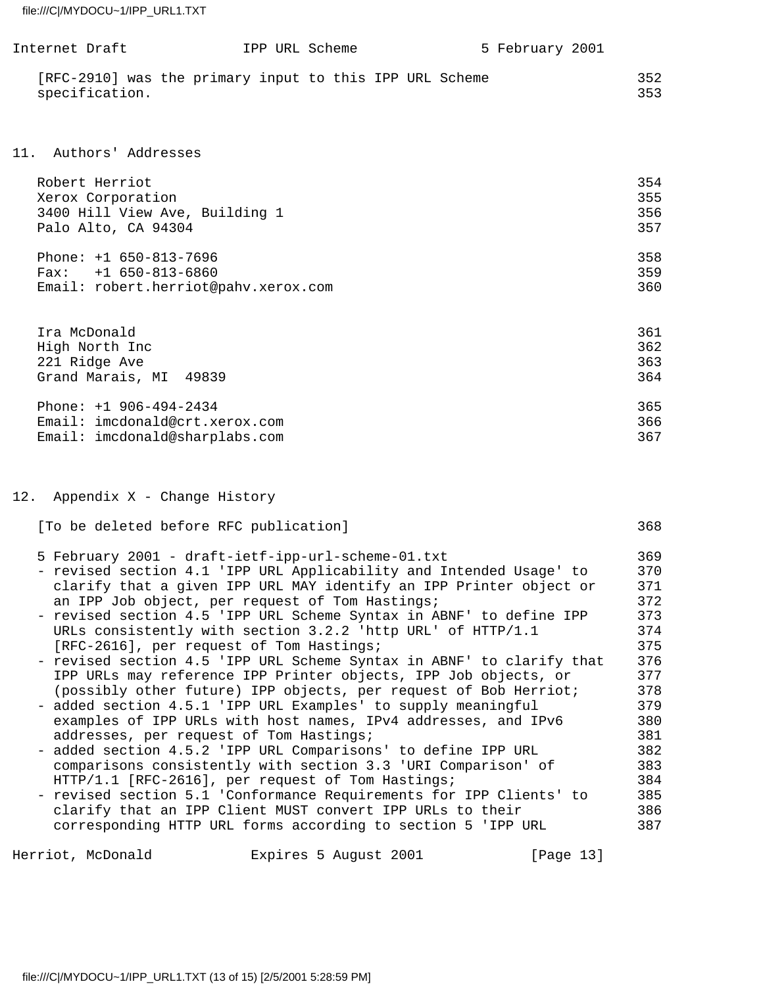| Internet Draft |                                                         | IPP URL Scheme | 5 February 2001 |            |
|----------------|---------------------------------------------------------|----------------|-----------------|------------|
| specification. | [RFC-2910] was the primary input to this IPP URL Scheme |                |                 | 352<br>353 |

# 11. Authors' Addresses

| Robert Herriot                       | 354 |
|--------------------------------------|-----|
| Xerox Corporation                    | 355 |
| 3400 Hill View Ave, Building 1       | 356 |
| Palo Alto, CA 94304                  | 357 |
| Phone: $+1$ 650-813-7696             | 358 |
| $Fax: +1 650-813-6860$               | 359 |
| Email: robert.herriot@pahv.xerox.com | 360 |
|                                      |     |

| 361 |
|-----|
| 362 |
| 363 |
| 364 |
| 365 |
| 366 |
| 367 |
|     |

# 12. Appendix X - Change History

| [To be deleted before RFC publication]                                | 368 |
|-----------------------------------------------------------------------|-----|
| 5 February 2001 - draft-ietf-ipp-url-scheme-01.txt                    | 369 |
| - revised section 4.1 'IPP URL Applicability and Intended Usage' to   | 370 |
| clarify that a given IPP URL MAY identify an IPP Printer object or    | 371 |
| an IPP Job object, per request of Tom Hastings;                       | 372 |
| - revised section 4.5 'IPP URL Scheme Syntax in ABNF' to define IPP   | 373 |
| URLs consistently with section 3.2.2 'http URL' of HTTP/1.1           | 374 |
| [RFC-2616], per request of Tom Hastings;                              | 375 |
| - revised section 4.5 'IPP URL Scheme Syntax in ABNF' to clarify that | 376 |
| IPP URLs may reference IPP Printer objects, IPP Job objects, or       | 377 |
| (possibly other future) IPP objects, per request of Bob Herriot;      | 378 |
| - added section 4.5.1 'IPP URL Examples' to supply meaningful         | 379 |
| examples of IPP URLs with host names, IPv4 addresses, and IPv6        | 380 |
| addresses, per request of Tom Hastings;                               | 381 |
| - added section 4.5.2 'IPP URL Comparisons' to define IPP URL         | 382 |
| comparisons consistently with section 3.3 'URI Comparison' of         | 383 |
| HTTP/1.1 [RFC-2616], per request of Tom Hastings;                     | 384 |
| - revised section 5.1 'Conformance Requirements for IPP Clients' to   | 385 |
| clarify that an IPP Client MUST convert IPP URLs to their             | 386 |
| corresponding HTTP URL forms according to section 5 'IPP URL          | 387 |

Herriot, McDonald **Expires 5 August 2001** [Page 13]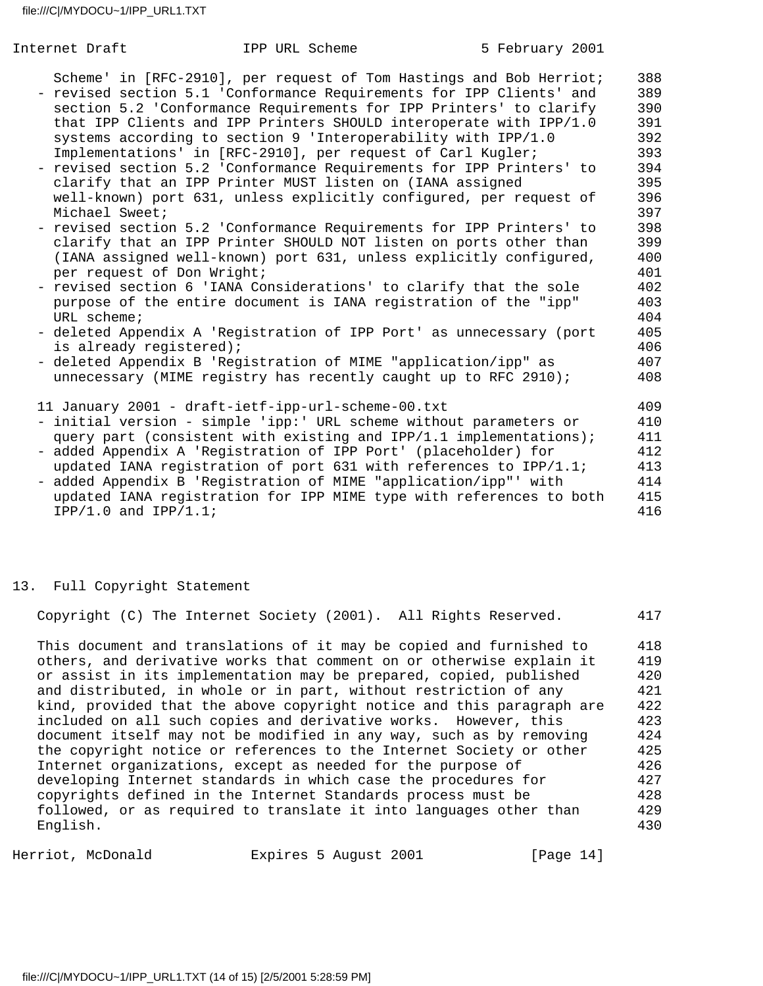| Internet Draft                                                                         | IPP URL Scheme                                                                                                                                                                                                                                                                                                                                                                                                                                                                                                                                                                                                                                                                                                                                                                                                                                                                                                                                                                                                                                                                                                                                                                                                | 5 February 2001 |                                                                                                                                                 |
|----------------------------------------------------------------------------------------|---------------------------------------------------------------------------------------------------------------------------------------------------------------------------------------------------------------------------------------------------------------------------------------------------------------------------------------------------------------------------------------------------------------------------------------------------------------------------------------------------------------------------------------------------------------------------------------------------------------------------------------------------------------------------------------------------------------------------------------------------------------------------------------------------------------------------------------------------------------------------------------------------------------------------------------------------------------------------------------------------------------------------------------------------------------------------------------------------------------------------------------------------------------------------------------------------------------|-----------------|-------------------------------------------------------------------------------------------------------------------------------------------------|
| Michael Sweet;<br>per request of Don Wright;<br>URL scheme;<br>is already registered); | Scheme' in [RFC-2910], per request of Tom Hastings and Bob Herriot;<br>- revised section 5.1 'Conformance Requirements for IPP Clients' and<br>section 5.2 'Conformance Requirements for IPP Printers' to clarify<br>that IPP Clients and IPP Printers SHOULD interoperate with IPP/1.0<br>systems according to section 9 'Interoperability with IPP/1.0<br>Implementations' in [RFC-2910], per request of Carl Kugler;<br>- revised section 5.2 'Conformance Requirements for IPP Printers' to<br>clarify that an IPP Printer MUST listen on (IANA assigned<br>well-known) port 631, unless explicitly configured, per request of<br>- revised section 5.2 'Conformance Requirements for IPP Printers' to<br>clarify that an IPP Printer SHOULD NOT listen on ports other than<br>(IANA assigned well-known) port 631, unless explicitly configured,<br>- revised section 6 'IANA Considerations' to clarify that the sole<br>purpose of the entire document is IANA registration of the "ipp"<br>- deleted Appendix A 'Registration of IPP Port' as unnecessary (port<br>- deleted Appendix B 'Registration of MIME "application/ipp" as<br>unnecessary (MIME registry has recently caught up to RFC 2910); |                 | 388<br>389<br>390<br>391<br>392<br>393<br>394<br>395<br>396<br>397<br>398<br>399<br>400<br>401<br>402<br>403<br>404<br>405<br>406<br>407<br>408 |
| $IPP/1.0$ and $IPP/1.1$ ;                                                              | 11 January 2001 - draft-ietf-ipp-url-scheme-00.txt<br>- initial version - simple 'ipp:' URL scheme without parameters or<br>query part (consistent with existing and IPP/1.1 implementations);<br>- added Appendix A 'Registration of IPP Port' (placeholder) for<br>updated IANA registration of port 631 with references to IPP/1.1;<br>- added Appendix B 'Registration of MIME "application/ipp"' with<br>updated IANA registration for IPP MIME type with references to both                                                                                                                                                                                                                                                                                                                                                                                                                                                                                                                                                                                                                                                                                                                             |                 | 409<br>410<br>411<br>412<br>413<br>414<br>415<br>416                                                                                            |

#### 13. Full Copyright Statement

Copyright (C) The Internet Society (2001). All Rights Reserved. 417

This document and translations of it may be copied and furnished to 418 others, and derivative works that comment on or otherwise explain it 419 or assist in its implementation may be prepared, copied, published 420 and distributed, in whole or in part, without restriction of any  $421$  kind, provided that the above copyright notice and this paragraph are 422 included on all such copies and derivative works. However, this 423 document itself may not be modified in any way, such as by removing 424 the copyright notice or references to the Internet Society or other 425 Internet organizations, except as needed for the purpose of 426 developing Internet standards in which case the procedures for 427 copyrights defined in the Internet Standards process must be 428 followed, or as required to translate it into languages other than 429 English. 430

Herriot, McDonald Expires 5 August 2001 [Page 14]